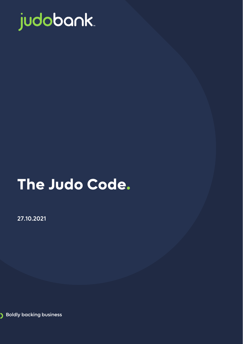

# **The Judo Code.**

27.10.2021

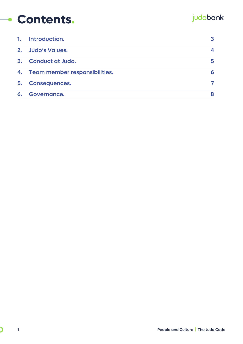## **Contents.**

## judobank.

| 1. | Introduction.                    |   |
|----|----------------------------------|---|
|    | 2. Judo's Values.                |   |
|    | 3. Conduct at Judo.              | 5 |
|    | 4. Team member responsibilities. | 6 |
| 5. | <b>Consequences.</b>             |   |
| 6. | Governance.                      |   |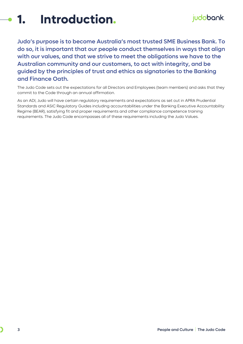<span id="page-2-0"></span>

Judo's purpose is to become Australia's most trusted SME Business Bank. To do so, it is important that our people conduct themselves in ways that align with our values, and that we strive to meet the obligations we have to the Australian community and our customers, to act with integrity, and be guided by the principles of trust and ethics as signatories to the Banking and Finance Oath.

The Judo Code sets out the expectations for all Directors and Employees (team members) and asks that they commit to the Code through an annual affirmation.

As an ADI, Judo will have certain regulatory requirements and expectations as set out in APRA Prudential Standards and ASIC Regulatory Guides including accountabilities under the Banking Executive Accountability Regime (BEAR), satisfying fit and proper requirements and other compliance competence training requirements. The Judo Code encompasses all of these requirements including the Judo Values.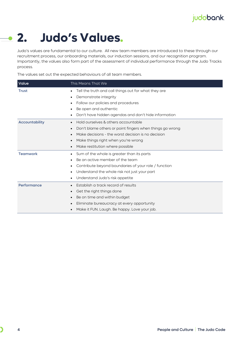## **2. Judo's Values.**

<span id="page-3-0"></span>Judo's values are fundamental to our culture. All new team members are introduced to these through our recruitment process, our onboarding materials, our induction sessions, and our recognition program. Importantly, the values also form part of the assessment of individual performance through the Judo Tracks process.

The values set out the expected behaviours of all team members.

| Value                 | This Means That We                                                                                                                                                                                                                                                                               |
|-----------------------|--------------------------------------------------------------------------------------------------------------------------------------------------------------------------------------------------------------------------------------------------------------------------------------------------|
| Trust                 | Tell the truth and call things out for what they are<br>$\bullet$<br>Demonstrate integrity<br>٠<br>Follow our policies and procedures<br>$\bullet$<br>Be open and authentic<br>٠<br>Don't have hidden agendas and don't hide information<br>$\bullet$                                            |
| <b>Accountability</b> | Hold ourselves & others accountable<br>$\bullet$<br>Don't blame others or point fingers when things go wrong<br>$\bullet$<br>Make decisions - the worst decision is no decision<br>$\bullet$<br>Make things right when you're wrong<br>$\bullet$<br>Make restitution where possible<br>$\bullet$ |
| <b>Teamwork</b>       | Sum of the whole is greater than its parts<br>٠<br>Be an active member of the team<br>$\bullet$<br>Contribute beyond boundaries of your role / function<br>$\bullet$<br>Understand the whole risk not just your part<br>٠<br>Understand Judo's risk appetite<br>$\bullet$                        |
| Performance           | Establish a track record of results<br>$\bullet$<br>Get the right things done<br>$\bullet$<br>Be on time and within budget<br>$\bullet$<br>Eliminate bureaucracy at every opportunity<br>$\bullet$<br>Make it FUN. Laugh. Be happy. Love your job.<br>$\bullet$                                  |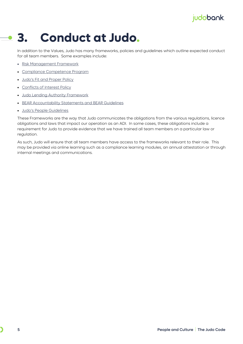#### **3. Conduct at Judo.**  $\overline{\phantom{a}}$

<span id="page-4-0"></span>In addition to the Values, Judo has many frameworks, policies and guidelines which outline expected conduct for all team members. Some examples include:

- [Risk Management Framework](https://judocapital.sharepoint.com/:b:/s/policyhub/EWStOCoaj7JGvWs3t7a9IAUB70BaMPSznm-jGR-kNxIAoQ?e=0ghTze)
- [Compliance Competence Program](https://judocapital.sharepoint.com/:b:/s/policyhub/EXUIaaTdyUJAm6Z9tNXlpc8BmmR-r-FO4WanjA0R3rDaWQ?e=iBlc24)
- [Judo's Fit and Proper Policy](https://judocapital.sharepoint.com/:b:/s/policyhub/EdlGdr96loBGqVniF21rmY4BEYVBjZ5yAkS4P907D9ntcA?e=3iqEYd)
- [Conflicts of Interest Policy](https://judocapital.sharepoint.com/:b:/s/policyhub/EauA-ilpzqxNmUJtEdnHdz8Bg-I35QWabbxjkFVIt9aWDg?e=KX9cyG)
- [Judo Lending Authority Framework](https://judocapital.sharepoint.com/:b:/s/policyhub/ET5n6OCccA1Ejr5LatxkGE0BPdlc0hLHT8-P-O7UQtFb1Q?e=OJkzG1)
- [BEAR Accountability Statements and BEAR Guidelines](https://judocapital.sharepoint.com/:b:/s/policyhub/EcYVgHEFLXlLvaloZ3QNAPABMgSwhru4tBzKmlLUz6lvgg?e=1BMYCu)
- [Judo's People Guidelines](https://judocapital.sharepoint.com/sites/policyhub/_layouts/15/SeeAll.aspx?Page=%2Fsites%2Fpolicyhub&InstanceId=5872e064-a96a-4a76-bd07-e567225622f2)

These Frameworks are the way that Judo communicates the obligations from the various regulations, licence obligations and laws that impact our operation as an ADI. In some cases, these obligations include a requirement for Judo to provide evidence that we have trained all team members on a particular law or regulation.

As such, Judo will ensure that all team members have access to the frameworks relevant to their role. This may be provided via online learning such as a compliance learning modules, an annual attestation or through internal meetings and communications.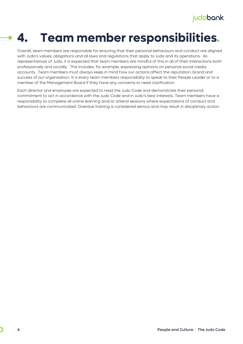## **4. Team member responsibilities.**

<span id="page-5-0"></span>Overall, team members are responsible for ensuring that their personal behaviours and conduct are aligned with Judo's values, obligations and all laws and regulations that apply to Judo and its operations. As representatives of Judo, it is expected that team members are mindful of this in all of their interactions both professionally and socially. This includes, for example, expressing opinions on personal social media accounts. Team members must always keep in mind how our actions affect the reputation, brand and success of our organisation. It is every team members responsibility to speak to their People Leader or to a member of the Management Board if they have any concerns or need clarification.

Each director and employee are expected to read the Judo Code and demonstrate their personal commitment to act in accordance with the Judo Code and in Judo's best interests. Team members have a responsibility to complete all online learning and/or attend sessions where expectations of conduct and behaviours are communicated. Overdue training is considered serious and may result in disciplinary action.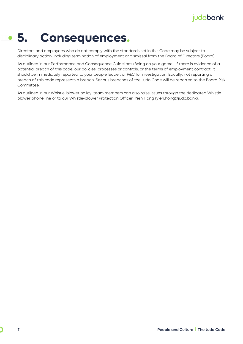#### **5. Consequences.**  $\bullet$

<span id="page-6-0"></span>Directors and employees who do not comply with the standards set in this Code may be subject to disciplinary action, including termination of employment or dismissal from the Board of Directors (Board).

As outlined in our Performance and Consequence Guidelines [\(Being on your game\)](https://judocapital.sharepoint.com/:b:/s/policyhub/EWWPQHYfIhRFkJWKk7sam-wBEl6JmOU2jMlv8fAZjbUACA?e=kWfJoU), if there is evidence of a potential breach of this code, our policies, processes or controls, or the terms of employment contract, it should be immediately reported to your people leader, or P&C for investigation. Equally, not reporting a breach of this code represents a breach. Serious breaches of the Judo Code will be reported to the Board Risk Committee.

As outlined in our Whistle-blower policy, team members can also raise issues through the dedicated Whistleblower phone line or to our Whistle-blower Protection Officer, Yien Hong [\(yien.hong@judo.bank\)](mailto:yien.hong@judo.bank).